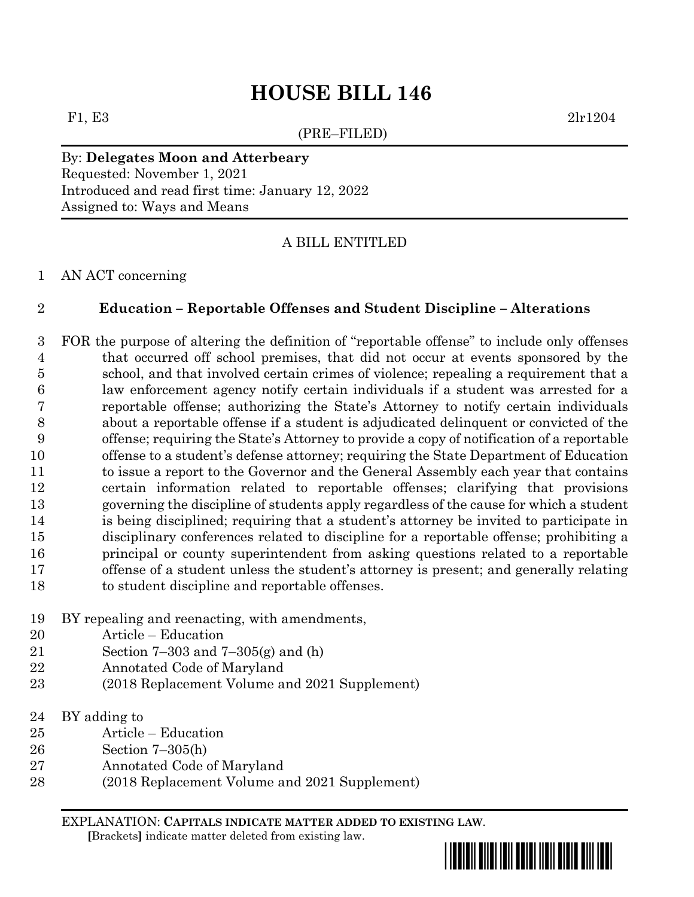# **HOUSE BILL 146**

(PRE–FILED)

F1, E3 2lr1204

### By: **Delegates Moon and Atterbeary** Requested: November 1, 2021 Introduced and read first time: January 12, 2022

Assigned to: Ways and Means

## A BILL ENTITLED

### AN ACT concerning

## **Education – Reportable Offenses and Student Discipline – Alterations**

 FOR the purpose of altering the definition of "reportable offense" to include only offenses that occurred off school premises, that did not occur at events sponsored by the school, and that involved certain crimes of violence; repealing a requirement that a law enforcement agency notify certain individuals if a student was arrested for a reportable offense; authorizing the State's Attorney to notify certain individuals about a reportable offense if a student is adjudicated delinquent or convicted of the offense; requiring the State's Attorney to provide a copy of notification of a reportable offense to a student's defense attorney; requiring the State Department of Education to issue a report to the Governor and the General Assembly each year that contains certain information related to reportable offenses; clarifying that provisions governing the discipline of students apply regardless of the cause for which a student is being disciplined; requiring that a student's attorney be invited to participate in disciplinary conferences related to discipline for a reportable offense; prohibiting a principal or county superintendent from asking questions related to a reportable offense of a student unless the student's attorney is present; and generally relating to student discipline and reportable offenses.

- BY repealing and reenacting, with amendments,
- Article Education
- Section 7–303 and 7–305(g) and (h)
- Annotated Code of Maryland
- (2018 Replacement Volume and 2021 Supplement)
- BY adding to
- Article Education
- Section 7–305(h)
- Annotated Code of Maryland
- (2018 Replacement Volume and 2021 Supplement)

EXPLANATION: **CAPITALS INDICATE MATTER ADDED TO EXISTING LAW**.  **[**Brackets**]** indicate matter deleted from existing law.

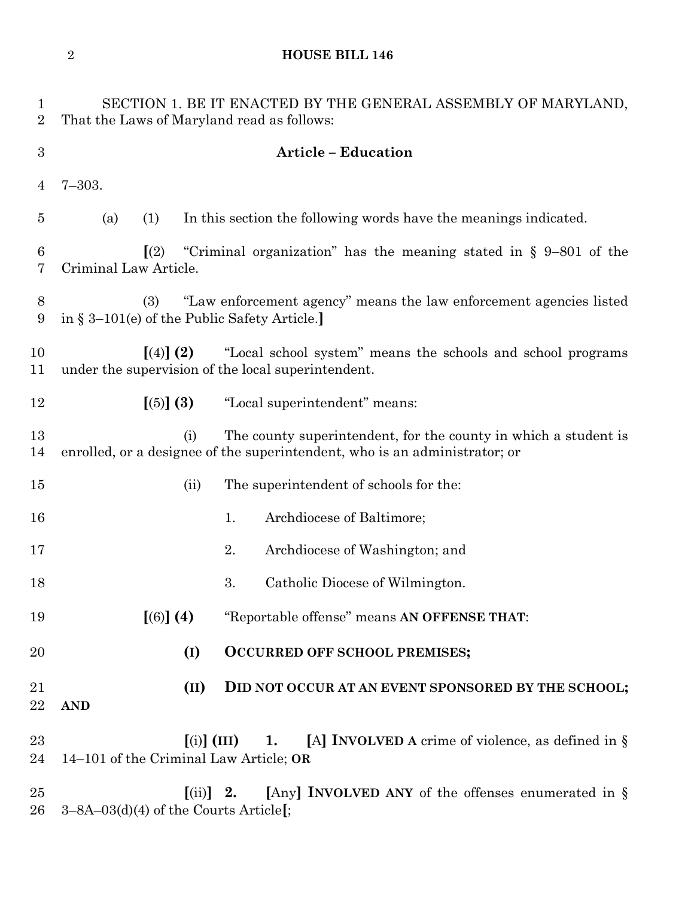**HOUSE BILL 146**

| $\mathbf{1}$<br>$\overline{2}$ | SECTION 1. BE IT ENACTED BY THE GENERAL ASSEMBLY OF MARYLAND,<br>That the Laws of Maryland read as follows: |                                                                                                                                               |  |  |
|--------------------------------|-------------------------------------------------------------------------------------------------------------|-----------------------------------------------------------------------------------------------------------------------------------------------|--|--|
| $\boldsymbol{3}$               |                                                                                                             | <b>Article - Education</b>                                                                                                                    |  |  |
| $\overline{4}$                 | $7 - 303.$                                                                                                  |                                                                                                                                               |  |  |
| $\overline{5}$                 | (a)<br>(1)                                                                                                  | In this section the following words have the meanings indicated.                                                                              |  |  |
| $\boldsymbol{6}$<br>7          | $\left[\left(2\right)\right]$<br>Criminal Law Article.                                                      | "Criminal organization" has the meaning stated in $\S$ 9-801 of the                                                                           |  |  |
| 8<br>9                         | (3)<br>in § 3–101(e) of the Public Safety Article.                                                          | "Law enforcement agency" means the law enforcement agencies listed                                                                            |  |  |
| 10<br>11                       | $(4)$ (2)<br>under the supervision of the local superintendent.                                             | "Local school system" means the schools and school programs                                                                                   |  |  |
| 12                             | [(5)] (3)                                                                                                   | "Local superintendent" means:                                                                                                                 |  |  |
| 13<br>14                       | (i)                                                                                                         | The county superintendent, for the county in which a student is<br>enrolled, or a designee of the superintendent, who is an administrator; or |  |  |
| 15                             | (ii)                                                                                                        | The superintendent of schools for the:                                                                                                        |  |  |
| 16                             |                                                                                                             | Archdiocese of Baltimore;<br>1.                                                                                                               |  |  |
| 17                             |                                                                                                             | 2.<br>Archdiocese of Washington; and                                                                                                          |  |  |
| 18                             |                                                                                                             | 3.<br>Catholic Diocese of Wilmington.                                                                                                         |  |  |
| 19                             | [(6)] (4)                                                                                                   | "Reportable offense" means AN OFFENSE THAT:                                                                                                   |  |  |
| 20                             | (I)                                                                                                         | <b>OCCURRED OFF SCHOOL PREMISES;</b>                                                                                                          |  |  |
| 21<br>22                       | (II)<br><b>AND</b>                                                                                          | DID NOT OCCUR AT AN EVENT SPONSORED BY THE SCHOOL;                                                                                            |  |  |
| 23<br>24                       | 14-101 of the Criminal Law Article; OR                                                                      | [A] <b>INVOLVED</b> A crime of violence, as defined in $\S$<br>$\left[ \text{(i)} \right]$ (III) 1.                                           |  |  |
| 25<br>26                       | 3-8A-03(d)(4) of the Courts Article[;                                                                       | $\left[\text{(ii)}\right]$ 2. [Any] INVOLVED ANY of the offenses enumerated in §                                                              |  |  |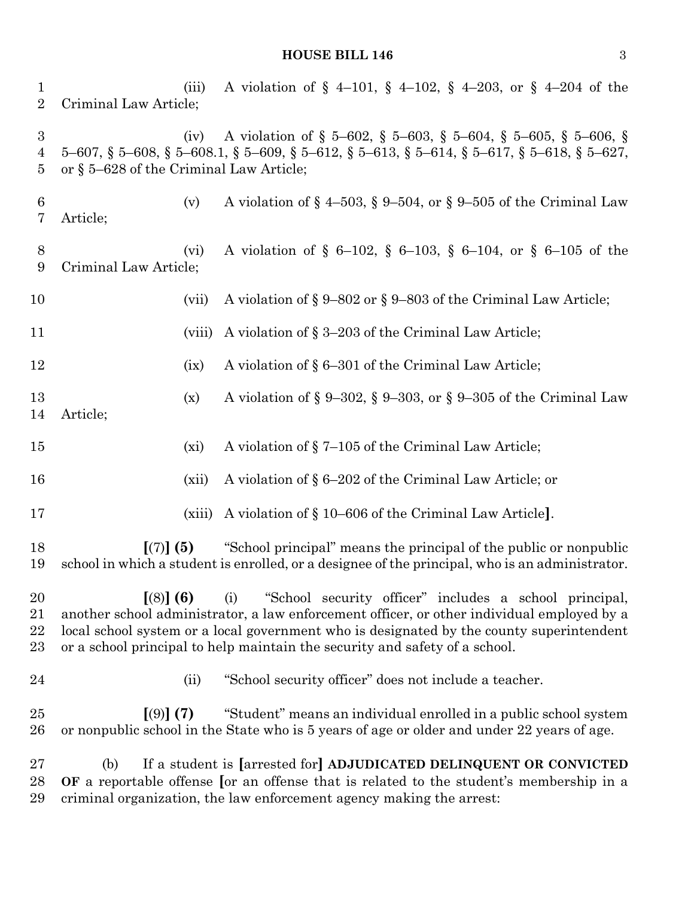# **HOUSE BILL 146** 3

| $\mathbf{1}$<br>$\sqrt{2}$                           | Criminal Law Article;                                                                                                                                                                                                                                                                                                                               | (iii)  | A violation of $\S$ 4-101, $\S$ 4-102, $\S$ 4-203, or $\S$ 4-204 of the                                                                                                                                                               |
|------------------------------------------------------|-----------------------------------------------------------------------------------------------------------------------------------------------------------------------------------------------------------------------------------------------------------------------------------------------------------------------------------------------------|--------|---------------------------------------------------------------------------------------------------------------------------------------------------------------------------------------------------------------------------------------|
| $\boldsymbol{3}$<br>$\overline{4}$<br>$\overline{5}$ | or § 5-628 of the Criminal Law Article;                                                                                                                                                                                                                                                                                                             | (iv)   | A violation of § 5–602, § 5–603, § 5–604, § 5–605, § 5–606, §<br>$5-607$ , $\S$ $5-608$ , $\S$ $5-608.1$ , $\S$ $5-609$ , $\S$ $5-612$ , $\S$ $5-613$ , $\S$ $5-614$ , $\S$ $5-617$ , $\S$ $5-618$ , $\S$ $5-627$ ,                   |
| $\boldsymbol{6}$<br>7                                | Article;                                                                                                                                                                                                                                                                                                                                            | (v)    | A violation of $\S$ 4–503, $\S$ 9–504, or $\S$ 9–505 of the Criminal Law                                                                                                                                                              |
| 8<br>9                                               | Criminal Law Article;                                                                                                                                                                                                                                                                                                                               | (vi)   | A violation of § 6-102, § 6-103, § 6-104, or § 6-105 of the                                                                                                                                                                           |
| 10                                                   |                                                                                                                                                                                                                                                                                                                                                     | (vii)  | A violation of $\S 9-802$ or $\S 9-803$ of the Criminal Law Article;                                                                                                                                                                  |
| 11                                                   |                                                                                                                                                                                                                                                                                                                                                     | (viii) | A violation of § 3–203 of the Criminal Law Article;                                                                                                                                                                                   |
| 12                                                   |                                                                                                                                                                                                                                                                                                                                                     | (ix)   | A violation of § 6–301 of the Criminal Law Article;                                                                                                                                                                                   |
| 13<br>14                                             | Article;                                                                                                                                                                                                                                                                                                                                            | (x)    | A violation of § 9-302, § 9-303, or § 9-305 of the Criminal Law                                                                                                                                                                       |
| $15\,$                                               |                                                                                                                                                                                                                                                                                                                                                     | (xi)   | A violation of §7-105 of the Criminal Law Article;                                                                                                                                                                                    |
| 16                                                   |                                                                                                                                                                                                                                                                                                                                                     | (xii)  | A violation of $\S 6-202$ of the Criminal Law Article; or                                                                                                                                                                             |
| 17                                                   |                                                                                                                                                                                                                                                                                                                                                     | (xiii) | A violation of § 10–606 of the Criminal Law Article.                                                                                                                                                                                  |
| 18<br>19                                             | "School principal" means the principal of the public or nonpublic<br>$[(7)]$ (5)<br>school in which a student is enrolled, or a designee of the principal, who is an administrator.                                                                                                                                                                 |        |                                                                                                                                                                                                                                       |
| 20<br>21<br>22<br>$23\,$                             | $(8)$ (6)<br>"School security officer" includes a school principal,<br>(i)<br>another school administrator, a law enforcement officer, or other individual employed by a<br>local school system or a local government who is designated by the county superintendent<br>or a school principal to help maintain the security and safety of a school. |        |                                                                                                                                                                                                                                       |
| 24                                                   |                                                                                                                                                                                                                                                                                                                                                     | (ii)   | "School security officer" does not include a teacher.                                                                                                                                                                                 |
| $25\,$<br>$26\,$                                     | $(9)$ (7)                                                                                                                                                                                                                                                                                                                                           |        | "Student" means an individual enrolled in a public school system<br>or nonpublic school in the State who is 5 years of age or older and under 22 years of age.                                                                        |
| $27\,$<br>28<br>29                                   | (b)                                                                                                                                                                                                                                                                                                                                                 |        | If a student is [arrested for] ADJUDICATED DELINQUENT OR CONVICTED<br>OF a reportable offense [or an offense that is related to the student's membership in a<br>criminal organization, the law enforcement agency making the arrest: |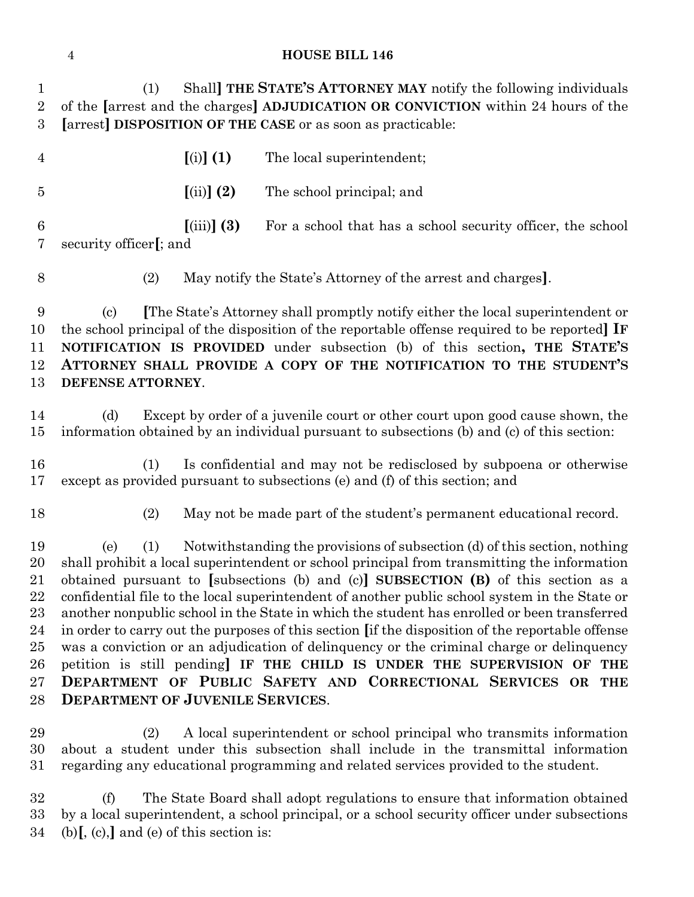#### **HOUSE BILL 146**

 (1) Shall**] THE STATE'S ATTORNEY MAY** notify the following individuals of the **[**arrest and the charges**] ADJUDICATION OR CONVICTION** within 24 hours of the **[**arrest**] DISPOSITION OF THE CASE** or as soon as practicable:

 **[**(i)**] (1)** The local superintendent; **[**(ii)**] (2)** The school principal; and **[**(iii)**] (3)** For a school that has a school security officer, the school security officer**[**; and

(2) May notify the State's Attorney of the arrest and charges**]**.

 (c) **[**The State's Attorney shall promptly notify either the local superintendent or the school principal of the disposition of the reportable offense required to be reported**] IF NOTIFICATION IS PROVIDED** under subsection (b) of this section**, THE STATE'S ATTORNEY SHALL PROVIDE A COPY OF THE NOTIFICATION TO THE STUDENT'S DEFENSE ATTORNEY**.

 (d) Except by order of a juvenile court or other court upon good cause shown, the information obtained by an individual pursuant to subsections (b) and (c) of this section:

 (1) Is confidential and may not be redisclosed by subpoena or otherwise except as provided pursuant to subsections (e) and (f) of this section; and

(2) May not be made part of the student's permanent educational record.

 (e) (1) Notwithstanding the provisions of subsection (d) of this section, nothing shall prohibit a local superintendent or school principal from transmitting the information obtained pursuant to **[**subsections (b) and (c)**] SUBSECTION (B)** of this section as a confidential file to the local superintendent of another public school system in the State or another nonpublic school in the State in which the student has enrolled or been transferred in order to carry out the purposes of this section **[**if the disposition of the reportable offense was a conviction or an adjudication of delinquency or the criminal charge or delinquency petition is still pending**] IF THE CHILD IS UNDER THE SUPERVISION OF THE DEPARTMENT OF PUBLIC SAFETY AND CORRECTIONAL SERVICES OR THE DEPARTMENT OF JUVENILE SERVICES**.

 (2) A local superintendent or school principal who transmits information about a student under this subsection shall include in the transmittal information regarding any educational programming and related services provided to the student.

 (f) The State Board shall adopt regulations to ensure that information obtained by a local superintendent, a school principal, or a school security officer under subsections (b)**[**, (c),**]** and (e) of this section is: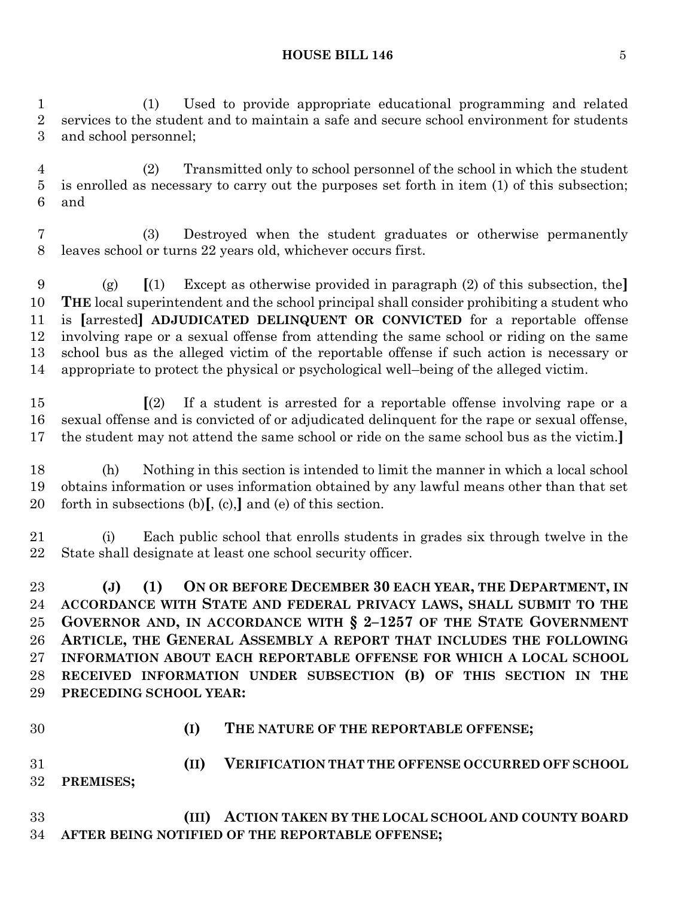#### **HOUSE BILL 146** 5

 (1) Used to provide appropriate educational programming and related services to the student and to maintain a safe and secure school environment for students and school personnel;

 (2) Transmitted only to school personnel of the school in which the student is enrolled as necessary to carry out the purposes set forth in item (1) of this subsection; and

 (3) Destroyed when the student graduates or otherwise permanently leaves school or turns 22 years old, whichever occurs first.

 (g) **[**(1) Except as otherwise provided in paragraph (2) of this subsection, the**] THE** local superintendent and the school principal shall consider prohibiting a student who is **[**arrested**] ADJUDICATED DELINQUENT OR CONVICTED** for a reportable offense involving rape or a sexual offense from attending the same school or riding on the same school bus as the alleged victim of the reportable offense if such action is necessary or appropriate to protect the physical or psychological well–being of the alleged victim.

 **[**(2) If a student is arrested for a reportable offense involving rape or a sexual offense and is convicted of or adjudicated delinquent for the rape or sexual offense, the student may not attend the same school or ride on the same school bus as the victim.**]**

 (h) Nothing in this section is intended to limit the manner in which a local school obtains information or uses information obtained by any lawful means other than that set forth in subsections (b)**[**, (c),**]** and (e) of this section.

 (i) Each public school that enrolls students in grades six through twelve in the State shall designate at least one school security officer.

 **(J) (1) ON OR BEFORE DECEMBER 30 EACH YEAR, THE DEPARTMENT, IN ACCORDANCE WITH STATE AND FEDERAL PRIVACY LAWS, SHALL SUBMIT TO THE GOVERNOR AND, IN ACCORDANCE WITH § 2–1257 OF THE STATE GOVERNMENT ARTICLE, THE GENERAL ASSEMBLY A REPORT THAT INCLUDES THE FOLLOWING INFORMATION ABOUT EACH REPORTABLE OFFENSE FOR WHICH A LOCAL SCHOOL RECEIVED INFORMATION UNDER SUBSECTION (B) OF THIS SECTION IN THE PRECEDING SCHOOL YEAR:**

- 
- **(I) THE NATURE OF THE REPORTABLE OFFENSE;**

 **(II) VERIFICATION THAT THE OFFENSE OCCURRED OFF SCHOOL PREMISES;**

 **(III) ACTION TAKEN BY THE LOCAL SCHOOL AND COUNTY BOARD AFTER BEING NOTIFIED OF THE REPORTABLE OFFENSE;**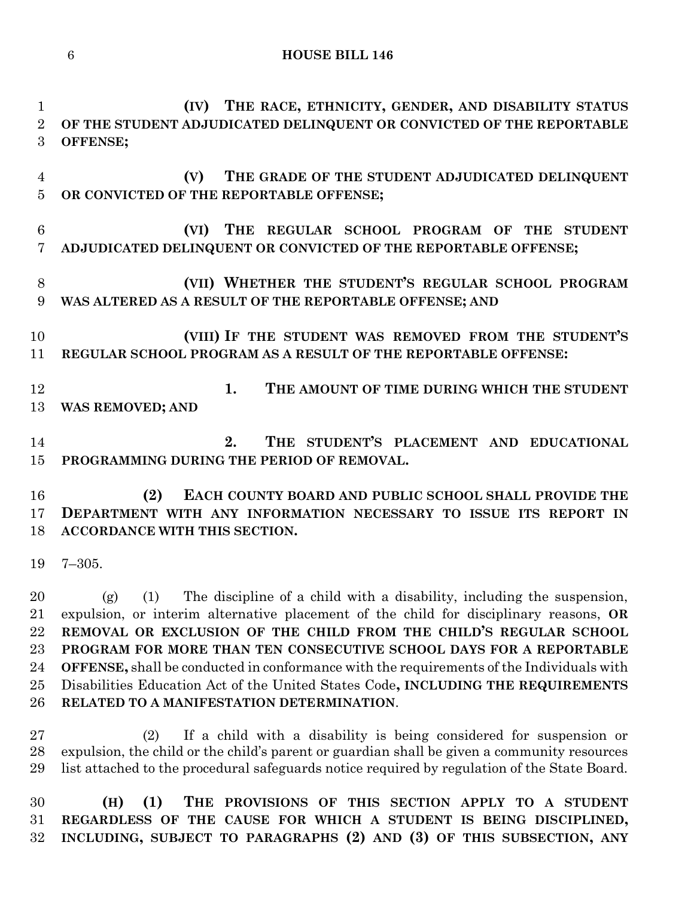```
6 HOUSE BILL 146
```
 **(IV) THE RACE, ETHNICITY, GENDER, AND DISABILITY STATUS OF THE STUDENT ADJUDICATED DELINQUENT OR CONVICTED OF THE REPORTABLE OFFENSE; (V) THE GRADE OF THE STUDENT ADJUDICATED DELINQUENT OR CONVICTED OF THE REPORTABLE OFFENSE; (VI) THE REGULAR SCHOOL PROGRAM OF THE STUDENT ADJUDICATED DELINQUENT OR CONVICTED OF THE REPORTABLE OFFENSE; (VII) WHETHER THE STUDENT'S REGULAR SCHOOL PROGRAM WAS ALTERED AS A RESULT OF THE REPORTABLE OFFENSE; AND (VIII) IF THE STUDENT WAS REMOVED FROM THE STUDENT'S REGULAR SCHOOL PROGRAM AS A RESULT OF THE REPORTABLE OFFENSE: 1. THE AMOUNT OF TIME DURING WHICH THE STUDENT WAS REMOVED; AND 2. THE STUDENT'S PLACEMENT AND EDUCATIONAL PROGRAMMING DURING THE PERIOD OF REMOVAL. (2) EACH COUNTY BOARD AND PUBLIC SCHOOL SHALL PROVIDE THE DEPARTMENT WITH ANY INFORMATION NECESSARY TO ISSUE ITS REPORT IN ACCORDANCE WITH THIS SECTION.** 7–305. (g) (1) The discipline of a child with a disability, including the suspension, expulsion, or interim alternative placement of the child for disciplinary reasons, **OR REMOVAL OR EXCLUSION OF THE CHILD FROM THE CHILD'S REGULAR SCHOOL PROGRAM FOR MORE THAN TEN CONSECUTIVE SCHOOL DAYS FOR A REPORTABLE OFFENSE,** shall be conducted in conformance with the requirements of the Individuals with Disabilities Education Act of the United States Code**, INCLUDING THE REQUIREMENTS RELATED TO A MANIFESTATION DETERMINATION**. (2) If a child with a disability is being considered for suspension or expulsion, the child or the child's parent or guardian shall be given a community resources list attached to the procedural safeguards notice required by regulation of the State Board. **(H) (1) THE PROVISIONS OF THIS SECTION APPLY TO A STUDENT REGARDLESS OF THE CAUSE FOR WHICH A STUDENT IS BEING DISCIPLINED,**

**INCLUDING, SUBJECT TO PARAGRAPHS (2) AND (3) OF THIS SUBSECTION, ANY**